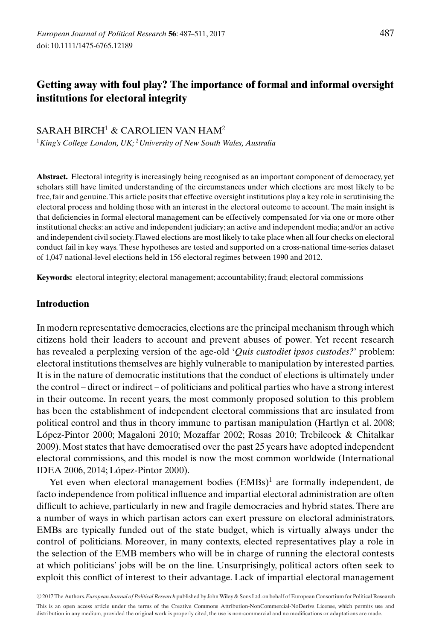# **Getting away with foul play? The importance of formal and informal oversight institutions for electoral integrity**

# SARAH BIRCH<sup>1</sup> & CAROLIEN VAN HAM<sup>2</sup>

<sup>1</sup>*King's College London, UK;* <sup>2</sup>*University of New South Wales, Australia*

**Abstract.** Electoral integrity is increasingly being recognised as an important component of democracy, yet scholars still have limited understanding of the circumstances under which elections are most likely to be free, fair and genuine. This article posits that effective oversight institutions play a key role in scrutinising the electoral process and holding those with an interest in the electoral outcome to account. The main insight is that deficiencies in formal electoral management can be effectively compensated for via one or more other institutional checks: an active and independent judiciary; an active and independent media; and/or an active and independent civil society. Flawed elections are most likely to take place when all four checks on electoral conduct fail in key ways. These hypotheses are tested and supported on a cross-national time-series dataset of 1,047 national-level elections held in 156 electoral regimes between 1990 and 2012.

**Keywords:** electoral integrity; electoral management; accountability; fraud; electoral commissions

### **Introduction**

In modern representative democracies, elections are the principal mechanism through which citizens hold their leaders to account and prevent abuses of power. Yet recent research has revealed a perplexing version of the age-old '*Quis custodiet ipsos custodes?*' problem: electoral institutions themselves are highly vulnerable to manipulation by interested parties. It is in the nature of democratic institutions that the conduct of elections is ultimately under the control – direct or indirect – of politicians and political parties who have a strong interest in their outcome. In recent years, the most commonly proposed solution to this problem has been the establishment of independent electoral commissions that are insulated from political control and thus in theory immune to partisan manipulation (Hartlyn et al. 2008; López-Pintor 2000; Magaloni 2010; Mozaffar 2002; Rosas 2010; Trebilcock & Chitalkar 2009). Most states that have democratised over the past 25 years have adopted independent electoral commissions, and this model is now the most common worldwide (International IDEA 2006, 2014; López-Pintor 2000).

Yet even when electoral management bodies  $(EMBs)^1$  are formally independent, de facto independence from political influence and impartial electoral administration are often difficult to achieve, particularly in new and fragile democracies and hybrid states. There are a number of ways in which partisan actors can exert pressure on electoral administrators. EMBs are typically funded out of the state budget, which is virtually always under the control of politicians. Moreover, in many contexts, elected representatives play a role in the selection of the EMB members who will be in charge of running the electoral contests at which politicians' jobs will be on the line. Unsurprisingly, political actors often seek to exploit this conflict of interest to their advantage. Lack of impartial electoral management

-<sup>C</sup> 2017 The Authors.*European Journal of Political Research* published by John Wiley & Sons Ltd. on behalf of European Consortium for Political Research

This is an open access article under the terms of the Creative Commons Attribution-NonCommercial-NoDerivs License, which permits use and distribution in any medium, provided the original work is properly cited, the use is non-commercial and no modifications or adaptations are made.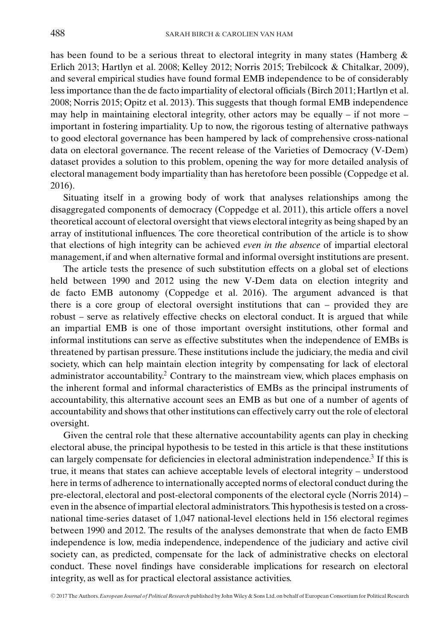has been found to be a serious threat to electoral integrity in many states (Hamberg & Erlich 2013; Hartlyn et al. 2008; Kelley 2012; Norris 2015; Trebilcock & Chitalkar, 2009), and several empirical studies have found formal EMB independence to be of considerably less importance than the de facto impartiality of electoral officials (Birch 2011; Hartlyn et al. 2008; Norris 2015; Opitz et al. 2013). This suggests that though formal EMB independence may help in maintaining electoral integrity, other actors may be equally – if not more – important in fostering impartiality. Up to now, the rigorous testing of alternative pathways to good electoral governance has been hampered by lack of comprehensive cross-national data on electoral governance. The recent release of the Varieties of Democracy (V-Dem) dataset provides a solution to this problem, opening the way for more detailed analysis of electoral management body impartiality than has heretofore been possible (Coppedge et al. 2016).

Situating itself in a growing body of work that analyses relationships among the disaggregated components of democracy (Coppedge et al. 2011), this article offers a novel theoretical account of electoral oversight that views electoral integrity as being shaped by an array of institutional influences. The core theoretical contribution of the article is to show that elections of high integrity can be achieved *even in the absence* of impartial electoral management, if and when alternative formal and informal oversight institutions are present.

The article tests the presence of such substitution effects on a global set of elections held between 1990 and 2012 using the new V-Dem data on election integrity and de facto EMB autonomy (Coppedge et al. 2016). The argument advanced is that there is a core group of electoral oversight institutions that can – provided they are robust – serve as relatively effective checks on electoral conduct. It is argued that while an impartial EMB is one of those important oversight institutions, other formal and informal institutions can serve as effective substitutes when the independence of EMBs is threatened by partisan pressure. These institutions include the judiciary, the media and civil society, which can help maintain election integrity by compensating for lack of electoral administrator accountability.<sup>2</sup> Contrary to the mainstream view, which places emphasis on the inherent formal and informal characteristics of EMBs as the principal instruments of accountability, this alternative account sees an EMB as but one of a number of agents of accountability and shows that other institutions can effectively carry out the role of electoral oversight.

Given the central role that these alternative accountability agents can play in checking electoral abuse, the principal hypothesis to be tested in this article is that these institutions can largely compensate for deficiencies in electoral administration independence.<sup>3</sup> If this is true, it means that states can achieve acceptable levels of electoral integrity – understood here in terms of adherence to internationally accepted norms of electoral conduct during the pre-electoral, electoral and post-electoral components of the electoral cycle (Norris 2014) – even in the absence of impartial electoral administrators.This hypothesis is tested on a crossnational time-series dataset of 1,047 national-level elections held in 156 electoral regimes between 1990 and 2012. The results of the analyses demonstrate that when de facto EMB independence is low, media independence, independence of the judiciary and active civil society can, as predicted, compensate for the lack of administrative checks on electoral conduct. These novel findings have considerable implications for research on electoral integrity, as well as for practical electoral assistance activities.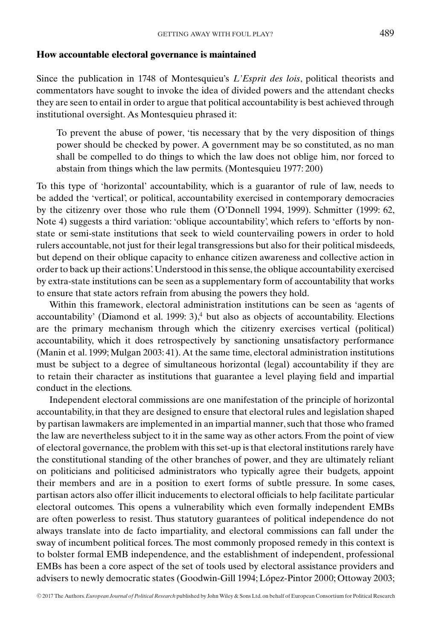#### **How accountable electoral governance is maintained**

Since the publication in 1748 of Montesquieu's *L'Esprit des lois*, political theorists and commentators have sought to invoke the idea of divided powers and the attendant checks they are seen to entail in order to argue that political accountability is best achieved through institutional oversight. As Montesquieu phrased it:

To prevent the abuse of power, 'tis necessary that by the very disposition of things power should be checked by power. A government may be so constituted, as no man shall be compelled to do things to which the law does not oblige him, nor forced to abstain from things which the law permits. (Montesquieu 1977: 200)

To this type of 'horizontal' accountability, which is a guarantor of rule of law, needs to be added the 'vertical', or political, accountability exercised in contemporary democracies by the citizenry over those who rule them (O'Donnell 1994, 1999). Schmitter (1999: 62, Note 4) suggests a third variation: 'oblique accountability', which refers to 'efforts by nonstate or semi-state institutions that seek to wield countervailing powers in order to hold rulers accountable, not just for their legal transgressions but also for their political misdeeds, but depend on their oblique capacity to enhance citizen awareness and collective action in order to back up their actions'.Understood in this sense, the oblique accountability exercised by extra-state institutions can be seen as a supplementary form of accountability that works to ensure that state actors refrain from abusing the powers they hold.

Within this framework, electoral administration institutions can be seen as 'agents of accountability' (Diamond et al. 1999:  $3$ ),<sup>4</sup> but also as objects of accountability. Elections are the primary mechanism through which the citizenry exercises vertical (political) accountability, which it does retrospectively by sanctioning unsatisfactory performance (Manin et al. 1999; Mulgan 2003: 41). At the same time, electoral administration institutions must be subject to a degree of simultaneous horizontal (legal) accountability if they are to retain their character as institutions that guarantee a level playing field and impartial conduct in the elections.

Independent electoral commissions are one manifestation of the principle of horizontal accountability, in that they are designed to ensure that electoral rules and legislation shaped by partisan lawmakers are implemented in an impartial manner, such that those who framed the law are nevertheless subject to it in the same way as other actors. From the point of view of electoral governance, the problem with this set-up is that electoral institutions rarely have the constitutional standing of the other branches of power, and they are ultimately reliant on politicians and politicised administrators who typically agree their budgets, appoint their members and are in a position to exert forms of subtle pressure. In some cases, partisan actors also offer illicit inducements to electoral officials to help facilitate particular electoral outcomes. This opens a vulnerability which even formally independent EMBs are often powerless to resist. Thus statutory guarantees of political independence do not always translate into de facto impartiality, and electoral commissions can fall under the sway of incumbent political forces. The most commonly proposed remedy in this context is to bolster formal EMB independence, and the establishment of independent, professional EMBs has been a core aspect of the set of tools used by electoral assistance providers and advisers to newly democratic states (Goodwin-Gill 1994; López-Pintor 2000; Ottoway 2003;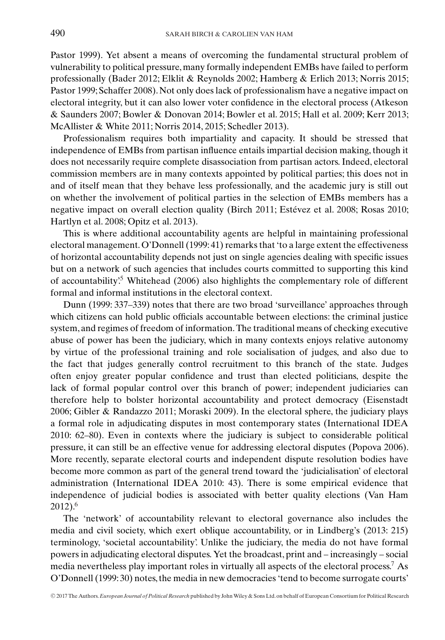Pastor 1999). Yet absent a means of overcoming the fundamental structural problem of vulnerability to political pressure, many formally independent EMBs have failed to perform professionally (Bader 2012; Elklit & Reynolds 2002; Hamberg & Erlich 2013; Norris 2015; Pastor 1999; Schaffer 2008). Not only does lack of professionalism have a negative impact on electoral integrity, but it can also lower voter confidence in the electoral process (Atkeson & Saunders 2007; Bowler & Donovan 2014; Bowler et al. 2015; Hall et al. 2009; Kerr 2013; McAllister & White 2011; Norris 2014, 2015; Schedler 2013).

Professionalism requires both impartiality and capacity. It should be stressed that independence of EMBs from partisan influence entails impartial decision making, though it does not necessarily require complete disassociation from partisan actors. Indeed, electoral commission members are in many contexts appointed by political parties; this does not in and of itself mean that they behave less professionally, and the academic jury is still out on whether the involvement of political parties in the selection of EMBs members has a negative impact on overall election quality (Birch 2011; Estévez et al. 2008; Rosas 2010; Hartlyn et al. 2008; Opitz et al. 2013).

This is where additional accountability agents are helpful in maintaining professional electoral management.O'Donnell (1999: 41) remarks that 'to a large extent the effectiveness of horizontal accountability depends not just on single agencies dealing with specific issues but on a network of such agencies that includes courts committed to supporting this kind of accountability'.5 Whitehead (2006) also highlights the complementary role of different formal and informal institutions in the electoral context.

Dunn (1999: 337–339) notes that there are two broad 'surveillance' approaches through which citizens can hold public officials accountable between elections: the criminal justice system, and regimes of freedom of information. The traditional means of checking executive abuse of power has been the judiciary, which in many contexts enjoys relative autonomy by virtue of the professional training and role socialisation of judges, and also due to the fact that judges generally control recruitment to this branch of the state. Judges often enjoy greater popular confidence and trust than elected politicians, despite the lack of formal popular control over this branch of power; independent judiciaries can therefore help to bolster horizontal accountability and protect democracy (Eisenstadt 2006; Gibler & Randazzo 2011; Moraski 2009). In the electoral sphere, the judiciary plays a formal role in adjudicating disputes in most contemporary states (International IDEA 2010: 62–80). Even in contexts where the judiciary is subject to considerable political pressure, it can still be an effective venue for addressing electoral disputes (Popova 2006). More recently, separate electoral courts and independent dispute resolution bodies have become more common as part of the general trend toward the 'judicialisation' of electoral administration (International IDEA 2010: 43). There is some empirical evidence that independence of judicial bodies is associated with better quality elections (Van Ham 2012).6

The 'network' of accountability relevant to electoral governance also includes the media and civil society, which exert oblique accountability, or in Lindberg's (2013: 215) terminology, 'societal accountability'. Unlike the judiciary, the media do not have formal powers in adjudicating electoral disputes. Yet the broadcast, print and – increasingly – social media nevertheless play important roles in virtually all aspects of the electoral process.7 As O'Donnell (1999: 30) notes, the media in new democracies 'tend to become surrogate courts'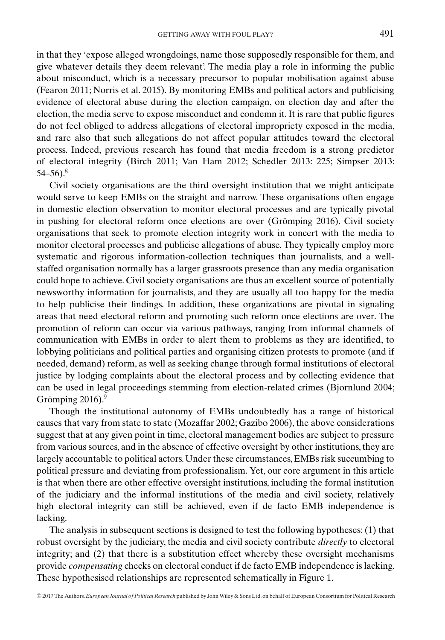in that they 'expose alleged wrongdoings, name those supposedly responsible for them, and give whatever details they deem relevant'. The media play a role in informing the public about misconduct, which is a necessary precursor to popular mobilisation against abuse (Fearon 2011; Norris et al. 2015). By monitoring EMBs and political actors and publicising evidence of electoral abuse during the election campaign, on election day and after the election, the media serve to expose misconduct and condemn it. It is rare that public figures do not feel obliged to address allegations of electoral impropriety exposed in the media, and rare also that such allegations do not affect popular attitudes toward the electoral process. Indeed, previous research has found that media freedom is a strong predictor of electoral integrity (Birch 2011; Van Ham 2012; Schedler 2013: 225; Simpser 2013:  $54-56$ ).<sup>8</sup>

Civil society organisations are the third oversight institution that we might anticipate would serve to keep EMBs on the straight and narrow. These organisations often engage in domestic election observation to monitor electoral processes and are typically pivotal in pushing for electoral reform once elections are over (Grömping 2016). Civil society organisations that seek to promote election integrity work in concert with the media to monitor electoral processes and publicise allegations of abuse. They typically employ more systematic and rigorous information-collection techniques than journalists, and a wellstaffed organisation normally has a larger grassroots presence than any media organisation could hope to achieve. Civil society organisations are thus an excellent source of potentially newsworthy information for journalists, and they are usually all too happy for the media to help publicise their findings. In addition, these organizations are pivotal in signaling areas that need electoral reform and promoting such reform once elections are over. The promotion of reform can occur via various pathways, ranging from informal channels of communication with EMBs in order to alert them to problems as they are identified, to lobbying politicians and political parties and organising citizen protests to promote (and if needed, demand) reform, as well as seeking change through formal institutions of electoral justice by lodging complaints about the electoral process and by collecting evidence that can be used in legal proceedings stemming from election-related crimes (Bjornlund 2004; Grömping  $2016$ .<sup>9</sup>

Though the institutional autonomy of EMBs undoubtedly has a range of historical causes that vary from state to state (Mozaffar 2002; Gazibo 2006), the above considerations suggest that at any given point in time, electoral management bodies are subject to pressure from various sources, and in the absence of effective oversight by other institutions, they are largely accountable to political actors. Under these circumstances, EMBs risk succumbing to political pressure and deviating from professionalism. Yet, our core argument in this article is that when there are other effective oversight institutions, including the formal institution of the judiciary and the informal institutions of the media and civil society, relatively high electoral integrity can still be achieved, even if de facto EMB independence is lacking.

The analysis in subsequent sections is designed to test the following hypotheses: (1) that robust oversight by the judiciary, the media and civil society contribute *directly* to electoral integrity; and (2) that there is a substitution effect whereby these oversight mechanisms provide *compensating* checks on electoral conduct if de facto EMB independence is lacking. These hypothesised relationships are represented schematically in Figure 1.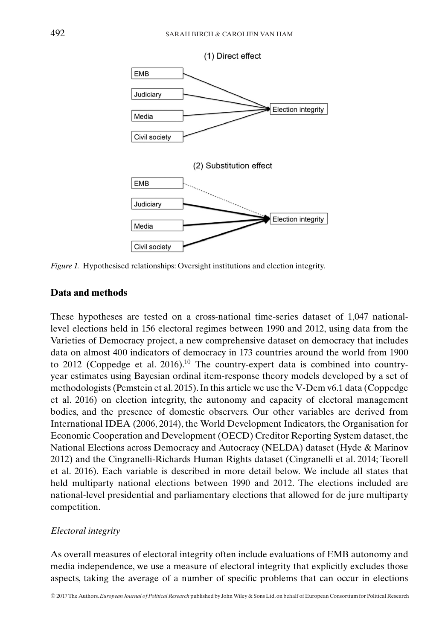

*Figure 1.* Hypothesised relationships: Oversight institutions and election integrity.

### **Data and methods**

These hypotheses are tested on a cross-national time-series dataset of 1,047 nationallevel elections held in 156 electoral regimes between 1990 and 2012, using data from the Varieties of Democracy project, a new comprehensive dataset on democracy that includes data on almost 400 indicators of democracy in 173 countries around the world from 1900 to 2012 (Coppedge et al. 2016).<sup>10</sup> The country-expert data is combined into countryyear estimates using Bayesian ordinal item-response theory models developed by a set of methodologists (Pemstein et al. 2015). In this article we use the V-Dem v6.1 data (Coppedge et al. 2016) on election integrity, the autonomy and capacity of electoral management bodies, and the presence of domestic observers. Our other variables are derived from International IDEA (2006, 2014), the World Development Indicators, the Organisation for Economic Cooperation and Development (OECD) Creditor Reporting System dataset, the National Elections across Democracy and Autocracy (NELDA) dataset (Hyde & Marinov 2012) and the Cingranelli-Richards Human Rights dataset (Cingranelli et al. 2014; Teorell et al. 2016). Each variable is described in more detail below. We include all states that held multiparty national elections between 1990 and 2012. The elections included are national-level presidential and parliamentary elections that allowed for de jure multiparty competition.

#### *Electoral integrity*

As overall measures of electoral integrity often include evaluations of EMB autonomy and media independence, we use a measure of electoral integrity that explicitly excludes those aspects, taking the average of a number of specific problems that can occur in elections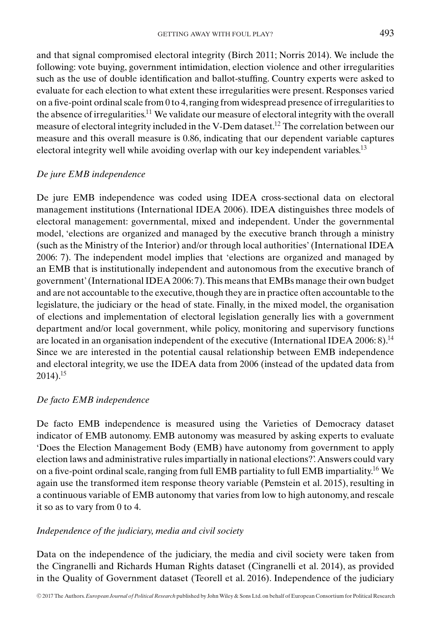and that signal compromised electoral integrity (Birch 2011; Norris 2014). We include the following: vote buying, government intimidation, election violence and other irregularities such as the use of double identification and ballot-stuffing. Country experts were asked to evaluate for each election to what extent these irregularities were present. Responses varied on a five-point ordinal scale from 0 to 4, ranging from widespread presence of irregularities to the absence of irregularities.<sup>11</sup> We validate our measure of electoral integrity with the overall measure of electoral integrity included in the V-Dem dataset.12 The correlation between our measure and this overall measure is 0.86, indicating that our dependent variable captures electoral integrity well while avoiding overlap with our key independent variables.13

# *De jure EMB independence*

De jure EMB independence was coded using IDEA cross-sectional data on electoral management institutions (International IDEA 2006). IDEA distinguishes three models of electoral management: governmental, mixed and independent. Under the governmental model, 'elections are organized and managed by the executive branch through a ministry (such as the Ministry of the Interior) and/or through local authorities' (International IDEA 2006: 7). The independent model implies that 'elections are organized and managed by an EMB that is institutionally independent and autonomous from the executive branch of government' (International IDEA 2006: 7).This means that EMBs manage their own budget and are not accountable to the executive, though they are in practice often accountable to the legislature, the judiciary or the head of state. Finally, in the mixed model, the organisation of elections and implementation of electoral legislation generally lies with a government department and/or local government, while policy, monitoring and supervisory functions are located in an organisation independent of the executive (International IDEA 2006: 8).14 Since we are interested in the potential causal relationship between EMB independence and electoral integrity, we use the IDEA data from 2006 (instead of the updated data from  $2014$ ).<sup>15</sup>

# *De facto EMB independence*

De facto EMB independence is measured using the Varieties of Democracy dataset indicator of EMB autonomy. EMB autonomy was measured by asking experts to evaluate 'Does the Election Management Body (EMB) have autonomy from government to apply election laws and administrative rules impartially in national elections?'.Answers could vary on a five-point ordinal scale, ranging from full EMB partiality to full EMB impartiality.16 We again use the transformed item response theory variable (Pemstein et al. 2015), resulting in a continuous variable of EMB autonomy that varies from low to high autonomy, and rescale it so as to vary from 0 to 4.

### *Independence of the judiciary, media and civil society*

Data on the independence of the judiciary, the media and civil society were taken from the Cingranelli and Richards Human Rights dataset (Cingranelli et al. 2014), as provided in the Quality of Government dataset (Teorell et al. 2016). Independence of the judiciary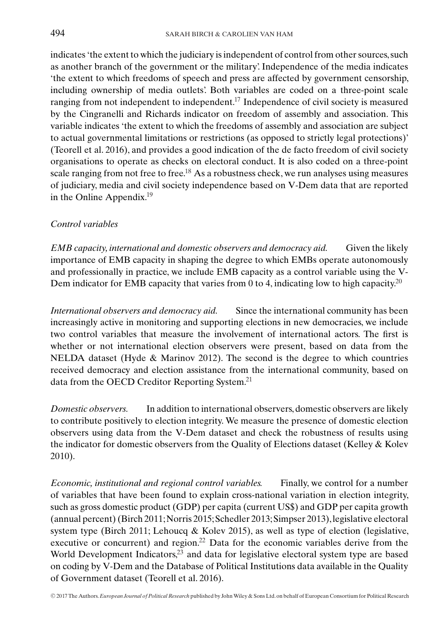indicates 'the extent to which the judiciary is independent of control from other sources, such as another branch of the government or the military'. Independence of the media indicates 'the extent to which freedoms of speech and press are affected by government censorship, including ownership of media outlets'. Both variables are coded on a three-point scale ranging from not independent to independent.<sup>17</sup> Independence of civil society is measured by the Cingranelli and Richards indicator on freedom of assembly and association. This variable indicates 'the extent to which the freedoms of assembly and association are subject to actual governmental limitations or restrictions (as opposed to strictly legal protections)' (Teorell et al. 2016), and provides a good indication of the de facto freedom of civil society organisations to operate as checks on electoral conduct. It is also coded on a three-point scale ranging from not free to free.<sup>18</sup> As a robustness check, we run analyses using measures of judiciary, media and civil society independence based on V-Dem data that are reported in the Online Appendix.19

# *Control variables*

*EMB capacity, international and domestic observers and democracy aid.* Given the likely importance of EMB capacity in shaping the degree to which EMBs operate autonomously and professionally in practice, we include EMB capacity as a control variable using the V-Dem indicator for EMB capacity that varies from 0 to 4, indicating low to high capacity.<sup>20</sup>

*International observers and democracy aid.* Since the international community has been increasingly active in monitoring and supporting elections in new democracies, we include two control variables that measure the involvement of international actors. The first is whether or not international election observers were present, based on data from the NELDA dataset (Hyde & Marinov 2012). The second is the degree to which countries received democracy and election assistance from the international community, based on data from the OECD Creditor Reporting System.21

*Domestic observers.* In addition to international observers, domestic observers are likely to contribute positively to election integrity. We measure the presence of domestic election observers using data from the V-Dem dataset and check the robustness of results using the indicator for domestic observers from the Quality of Elections dataset (Kelley  $&$  Kolev 2010).

*Economic, institutional and regional control variables.* Finally, we control for a number of variables that have been found to explain cross-national variation in election integrity, such as gross domestic product (GDP) per capita (current US\$) and GDP per capita growth (annual percent) (Birch 2011;Norris 2015; Schedler 2013; Simpser 2013),legislative electoral system type (Birch 2011; Lehoucq & Kolev 2015), as well as type of election (legislative, executive or concurrent) and region.<sup>22</sup> Data for the economic variables derive from the World Development Indicators, $23$  and data for legislative electoral system type are based on coding by V-Dem and the Database of Political Institutions data available in the Quality of Government dataset (Teorell et al. 2016).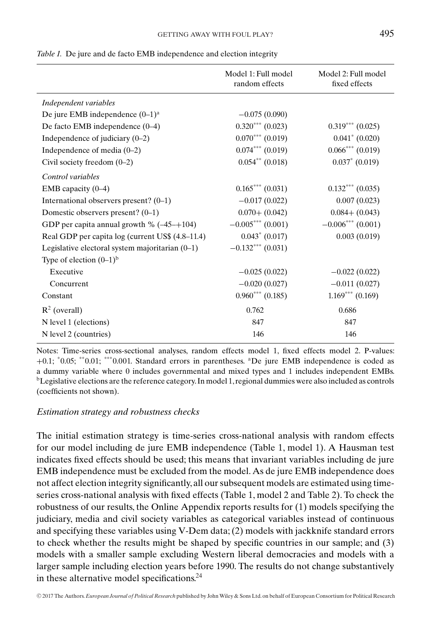|                                                  | Model 1: Full model<br>random effects | Model 2: Full model<br>fixed effects |  |
|--------------------------------------------------|---------------------------------------|--------------------------------------|--|
| Independent variables                            |                                       |                                      |  |
| De jure EMB independence $(0-1)^a$               | $-0.075(0.090)$                       |                                      |  |
| De facto EMB independence $(0-4)$                | $0.320***(0.023)$                     | $0.319***(0.025)$                    |  |
| Independence of judiciary (0-2)                  | $0.070***$ (0.019)                    | $0.041^* (0.020)$                    |  |
| Independence of media (0-2)                      | $0.074***(0.019)$                     | $0.066$ *** $(0.019)$                |  |
| Civil society freedom $(0-2)$                    | $0.054^{**}$ (0.018)                  | $0.037^* (0.019)$                    |  |
| Control variables                                |                                       |                                      |  |
| EMB capacity $(0-4)$                             | $0.165***(0.031)$                     | $0.132***(0.035)$                    |  |
| International observers present? $(0-1)$         | $-0.017(0.022)$                       | 0.007(0.023)                         |  |
| Domestic observers present? $(0-1)$              | $0.070 + (0.042)$                     | $0.084 + (0.043)$                    |  |
| GDP per capita annual growth % $(-45 + 104)$     | $-0.005***(0.001)$                    | $-0.006***(0.001)$                   |  |
| Real GDP per capita log (current US\$ (4.8-11.4) | $0.043^*$ (0.017)                     | 0.003(0.019)                         |  |
| Legislative electoral system majoritarian (0-1)  | $-0.132***$ (0.031)                   |                                      |  |
| Type of election $(0-1)^b$                       |                                       |                                      |  |
| Executive                                        | $-0.025(0.022)$                       | $-0.022(0.022)$                      |  |
| Concurrent                                       | $-0.020(0.027)$                       | $-0.011(0.027)$                      |  |
| Constant                                         | $0.960***(0.185)$                     | $1.169***(0.169)$                    |  |
| $R^2$ (overall)                                  | 0.762                                 | 0.686                                |  |
| N level 1 (elections)                            | 847                                   | 847                                  |  |
| N level 2 (countries)                            | 146                                   | 146                                  |  |

*Table 1.* De jure and de facto EMB independence and election integrity

Notes: Time-series cross-sectional analyses, random effects model 1, fixed effects model 2. P-values:  $+0.1$ ;  $*0.05$ ;  $*0.01$ ;  $*0.01$ . Standard errors in parentheses. <sup>a</sup>De jure EMB independence is coded as a dummy variable where 0 includes governmental and mixed types and 1 includes independent EMBs. bLegislative elections are the reference category. In model 1, regional dummies were also included as controls (coefficients not shown).

#### *Estimation strategy and robustness checks*

The initial estimation strategy is time-series cross-national analysis with random effects for our model including de jure EMB independence (Table 1, model 1). A Hausman test indicates fixed effects should be used; this means that invariant variables including de jure EMB independence must be excluded from the model. As de jure EMB independence does not affect election integrity significantly, all our subsequent models are estimated using timeseries cross-national analysis with fixed effects (Table 1, model 2 and Table 2). To check the robustness of our results, the Online Appendix reports results for (1) models specifying the judiciary, media and civil society variables as categorical variables instead of continuous and specifying these variables using V-Dem data; (2) models with jackknife standard errors to check whether the results might be shaped by specific countries in our sample; and (3) models with a smaller sample excluding Western liberal democracies and models with a larger sample including election years before 1990. The results do not change substantively in these alternative model specifications.24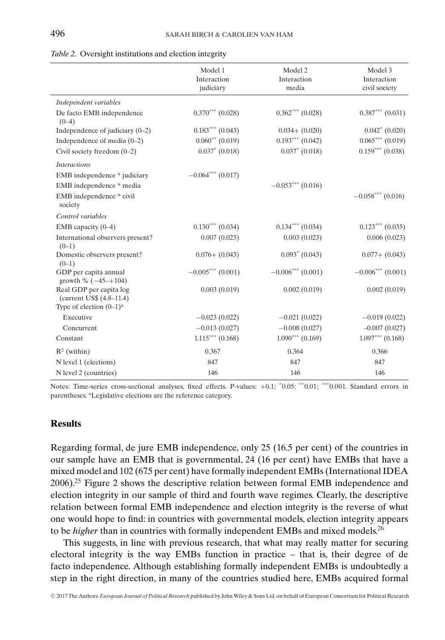| Model 1<br>Interaction<br>judiciary | Model 2<br>Interaction<br>media | Model 3<br>Interaction<br>civil society |
|-------------------------------------|---------------------------------|-----------------------------------------|
|                                     |                                 |                                         |
| $0.370***(0.028)$                   | $0.362***(0.028)$               | $0.387***$ $(0.031)$                    |
| $0.183***(0.043)$                   | $0.034 + (0.020)$               | $0.042^* (0.020)$                       |
| $0.060**$ (0.019)                   | $0.193***(0.042)$               | $0.065***(0.019)$                       |
| $0.037^*$ (0.018)                   | $0.037^*$ (0.018)               | $0.159***$ (0.038)                      |
|                                     |                                 |                                         |
| $-0.064***(0.017)$                  |                                 |                                         |
|                                     | $-0.053***$ (0.016)             |                                         |
|                                     |                                 | $-0.058***(0.016)$                      |
|                                     |                                 |                                         |
| $0.130***$ (0.034)                  | $0.134***$ $(0.034)$            | $0.123***(0.035)$                       |
| 0.007(0.023)                        | 0.003(0.023)                    | 0.006(0.023)                            |
| $0.076 + (0.043)$                   | $0.093^*$ (0.043)               | $0.077 + (0.043)$                       |
| $-0.005***$ (0.001)                 | $-0.006***$ (0.001)             | $-0.006***$ (0.001)                     |
| 0.003(0.019)                        | 0.002(0.019)                    | 0.002(0.019)                            |
|                                     |                                 |                                         |
| $-0.023(0.022)$                     | $-0.021(0.022)$                 | $-0.019(0.022)$                         |
| $-0.013(0.027)$                     | $-0.008(0.027)$                 | $-0.007(0.027)$                         |
|                                     | $1.090***$ (0.169)              | $1.097***$ (0.168)                      |
| 0.367                               | 0.364                           | 0.366                                   |
| 847                                 | 847                             | 847                                     |
| 146                                 | 146                             | 146                                     |
|                                     | $1.115***$ (0.168)              |                                         |

|  |  | Table 2. Oversight institutions and election integrity |  |  |  |
|--|--|--------------------------------------------------------|--|--|--|
|--|--|--------------------------------------------------------|--|--|--|

Notes: Time-series cross-sectional analyses, fixed effects. P-values:  $+0.1$ ;  $*0.05$ ; \*\*0.01; \*\*\*0.001. Standard errors in parentheses. <sup>a</sup>Legislative elections are the reference category.

### **Results**

Regarding formal, de jure EMB independence, only 25 (16.5 per cent) of the countries in our sample have an EMB that is governmental, 24 (16 per cent) have EMBs that have a mixed model and 102 (67.5 per cent) have formally independent EMBs (International IDEA 2006).25 Figure 2 shows the descriptive relation between formal EMB independence and election integrity in our sample of third and fourth wave regimes. Clearly, the descriptive relation between formal EMB independence and election integrity is the reverse of what one would hope to find: in countries with governmental models, election integrity appears to be *higher* than in countries with formally independent EMBs and mixed models.<sup>26</sup>

This suggests, in line with previous research, that what may really matter for securing electoral integrity is the way EMBs function in practice – that is, their degree of de facto independence. Although establishing formally independent EMBs is undoubtedly a step in the right direction, in many of the countries studied here, EMBs acquired formal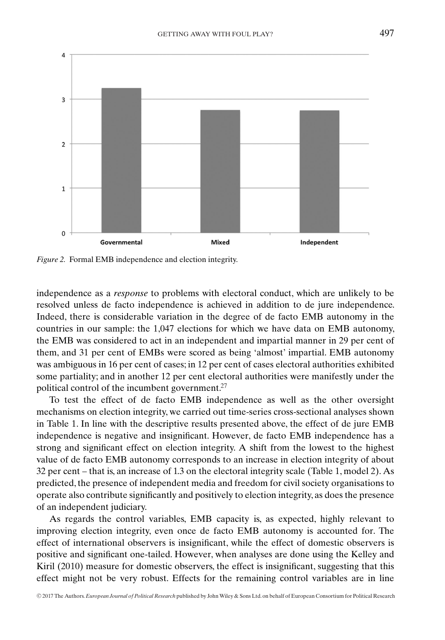

*Figure 2.* Formal EMB independence and election integrity.

independence as a *response* to problems with electoral conduct, which are unlikely to be resolved unless de facto independence is achieved in addition to de jure independence. Indeed, there is considerable variation in the degree of de facto EMB autonomy in the countries in our sample: the 1,047 elections for which we have data on EMB autonomy, the EMB was considered to act in an independent and impartial manner in 29 per cent of them, and 31 per cent of EMBs were scored as being 'almost' impartial. EMB autonomy was ambiguous in 16 per cent of cases; in 12 per cent of cases electoral authorities exhibited some partiality; and in another 12 per cent electoral authorities were manifestly under the political control of the incumbent government.27

To test the effect of de facto EMB independence as well as the other oversight mechanisms on election integrity, we carried out time-series cross-sectional analyses shown in Table 1. In line with the descriptive results presented above, the effect of de jure EMB independence is negative and insignificant. However, de facto EMB independence has a strong and significant effect on election integrity. A shift from the lowest to the highest value of de facto EMB autonomy corresponds to an increase in election integrity of about 32 per cent – that is, an increase of 1.3 on the electoral integrity scale (Table 1, model 2). As predicted, the presence of independent media and freedom for civil society organisations to operate also contribute significantly and positively to election integrity, as does the presence of an independent judiciary.

As regards the control variables, EMB capacity is, as expected, highly relevant to improving election integrity, even once de facto EMB autonomy is accounted for. The effect of international observers is insignificant, while the effect of domestic observers is positive and significant one-tailed. However, when analyses are done using the Kelley and Kiril (2010) measure for domestic observers, the effect is insignificant, suggesting that this effect might not be very robust. Effects for the remaining control variables are in line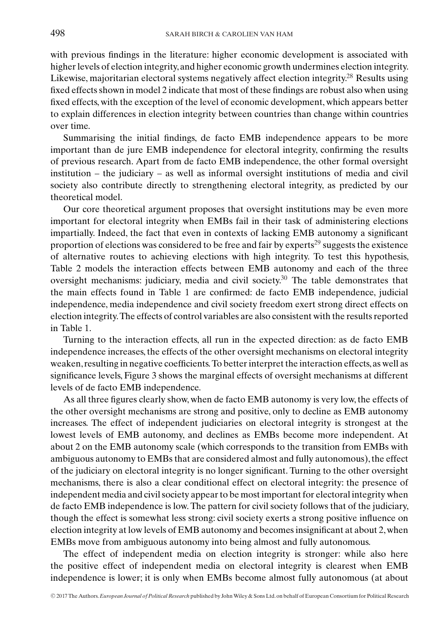with previous findings in the literature: higher economic development is associated with higher levels of election integrity, and higher economic growth undermines election integrity. Likewise, majoritarian electoral systems negatively affect election integrity.<sup>28</sup> Results using fixed effects shown in model 2 indicate that most of these findings are robust also when using fixed effects, with the exception of the level of economic development, which appears better to explain differences in election integrity between countries than change within countries over time.

Summarising the initial findings, de facto EMB independence appears to be more important than de jure EMB independence for electoral integrity, confirming the results of previous research. Apart from de facto EMB independence, the other formal oversight institution – the judiciary – as well as informal oversight institutions of media and civil society also contribute directly to strengthening electoral integrity, as predicted by our theoretical model.

Our core theoretical argument proposes that oversight institutions may be even more important for electoral integrity when EMBs fail in their task of administering elections impartially. Indeed, the fact that even in contexts of lacking EMB autonomy a significant proportion of elections was considered to be free and fair by experts<sup>29</sup> suggests the existence of alternative routes to achieving elections with high integrity. To test this hypothesis, Table 2 models the interaction effects between EMB autonomy and each of the three oversight mechanisms: judiciary, media and civil society.<sup>30</sup> The table demonstrates that the main effects found in Table 1 are confirmed: de facto EMB independence, judicial independence, media independence and civil society freedom exert strong direct effects on election integrity.The effects of control variables are also consistent with the results reported in Table 1.

Turning to the interaction effects, all run in the expected direction: as de facto EMB independence increases, the effects of the other oversight mechanisms on electoral integrity weaken, resulting in negative coefficients.To better interpret the interaction effects, as well as significance levels, Figure 3 shows the marginal effects of oversight mechanisms at different levels of de facto EMB independence.

As all three figures clearly show, when de facto EMB autonomy is very low, the effects of the other oversight mechanisms are strong and positive, only to decline as EMB autonomy increases. The effect of independent judiciaries on electoral integrity is strongest at the lowest levels of EMB autonomy, and declines as EMBs become more independent. At about 2 on the EMB autonomy scale (which corresponds to the transition from EMBs with ambiguous autonomy to EMBs that are considered almost and fully autonomous), the effect of the judiciary on electoral integrity is no longer significant. Turning to the other oversight mechanisms, there is also a clear conditional effect on electoral integrity: the presence of independent media and civil society appear to be most important for electoral integrity when de facto EMB independence is low. The pattern for civil society follows that of the judiciary, though the effect is somewhat less strong: civil society exerts a strong positive influence on election integrity at low levels of EMB autonomy and becomes insignificant at about 2, when EMBs move from ambiguous autonomy into being almost and fully autonomous.

The effect of independent media on election integrity is stronger: while also here the positive effect of independent media on electoral integrity is clearest when EMB independence is lower; it is only when EMBs become almost fully autonomous (at about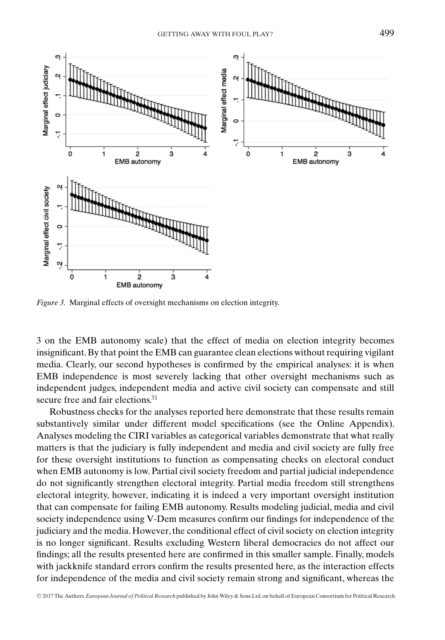

*Figure 3.* Marginal effects of oversight mechanisms on election integrity.

3 on the EMB autonomy scale) that the effect of media on election integrity becomes insignificant. By that point the EMB can guarantee clean elections without requiring vigilant media. Clearly, our second hypotheses is confirmed by the empirical analyses: it is when EMB independence is most severely lacking that other oversight mechanisms such as independent judges, independent media and active civil society can compensate and still secure free and fair elections.<sup>31</sup>

Robustness checks for the analyses reported here demonstrate that these results remain substantively similar under different model specifications (see the Online Appendix). Analyses modeling the CIRI variables as categorical variables demonstrate that what really matters is that the judiciary is fully independent and media and civil society are fully free for these oversight institutions to function as compensating checks on electoral conduct when EMB autonomy is low. Partial civil society freedom and partial judicial independence do not significantly strengthen electoral integrity. Partial media freedom still strengthens electoral integrity, however, indicating it is indeed a very important oversight institution that can compensate for failing EMB autonomy. Results modeling judicial, media and civil society independence using V-Dem measures confirm our findings for independence of the judiciary and the media. However, the conditional effect of civil society on election integrity is no longer significant. Results excluding Western liberal democracies do not affect our findings; all the results presented here are confirmed in this smaller sample. Finally, models with jackknife standard errors confirm the results presented here, as the interaction effects for independence of the media and civil society remain strong and significant, whereas the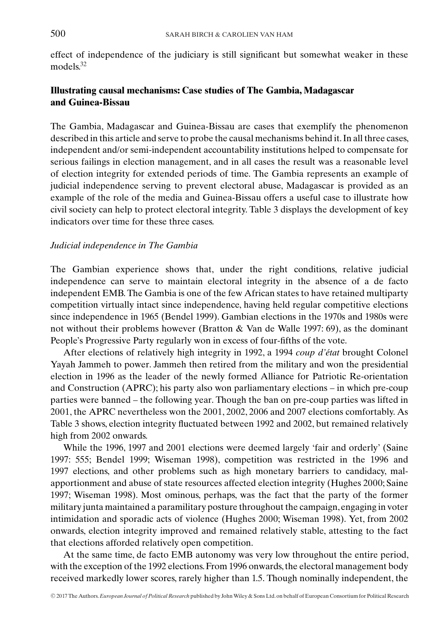effect of independence of the judiciary is still significant but somewhat weaker in these models<sup>32</sup>

# **Illustrating causal mechanisms: Case studies of The Gambia, Madagascar and Guinea-Bissau**

The Gambia, Madagascar and Guinea-Bissau are cases that exemplify the phenomenon described in this article and serve to probe the causal mechanisms behind it. In all three cases, independent and/or semi-independent accountability institutions helped to compensate for serious failings in election management, and in all cases the result was a reasonable level of election integrity for extended periods of time. The Gambia represents an example of judicial independence serving to prevent electoral abuse, Madagascar is provided as an example of the role of the media and Guinea-Bissau offers a useful case to illustrate how civil society can help to protect electoral integrity. Table 3 displays the development of key indicators over time for these three cases.

#### *Judicial independence in The Gambia*

The Gambian experience shows that, under the right conditions, relative judicial independence can serve to maintain electoral integrity in the absence of a de facto independent EMB. The Gambia is one of the few African states to have retained multiparty competition virtually intact since independence, having held regular competitive elections since independence in 1965 (Bendel 1999). Gambian elections in the 1970s and 1980s were not without their problems however (Bratton & Van de Walle 1997: 69), as the dominant People's Progressive Party regularly won in excess of four-fifths of the vote.

After elections of relatively high integrity in 1992, a 1994 *coup d'état* brought Colonel Yayah Jammeh to power. Jammeh then retired from the military and won the presidential election in 1996 as the leader of the newly formed Alliance for Patriotic Re-orientation and Construction (APRC); his party also won parliamentary elections – in which pre-coup parties were banned – the following year. Though the ban on pre-coup parties was lifted in 2001, the APRC nevertheless won the 2001, 2002, 2006 and 2007 elections comfortably. As Table 3 shows, election integrity fluctuated between 1992 and 2002, but remained relatively high from 2002 onwards.

While the 1996, 1997 and 2001 elections were deemed largely 'fair and orderly' (Saine 1997: 555; Bendel 1999; Wiseman 1998), competition was restricted in the 1996 and 1997 elections, and other problems such as high monetary barriers to candidacy, malapportionment and abuse of state resources affected election integrity (Hughes 2000; Saine 1997; Wiseman 1998). Most ominous, perhaps, was the fact that the party of the former military junta maintained a paramilitary posture throughout the campaign, engaging in voter intimidation and sporadic acts of violence (Hughes 2000; Wiseman 1998). Yet, from 2002 onwards, election integrity improved and remained relatively stable, attesting to the fact that elections afforded relatively open competition.

At the same time, de facto EMB autonomy was very low throughout the entire period, with the exception of the 1992 elections. From 1996 onwards, the electoral management body received markedly lower scores, rarely higher than 1.5. Though nominally independent, the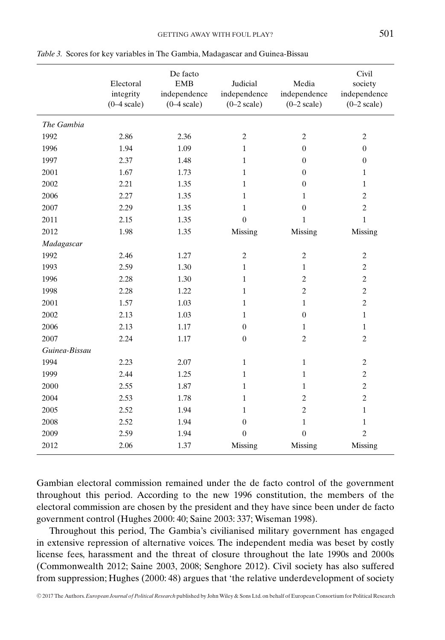|               | Electoral<br>integrity<br>$(0-4 \text{ scale})$ | De facto<br><b>EMB</b><br>independence<br>$(0-4 \text{ scale})$ | Judicial<br>independence<br>$(0-2 \text{ scale})$ | Media<br>independence<br>$(0-2 \text{ scale})$ | Civil<br>society<br>independence<br>$(0-2 \text{ scale})$ |
|---------------|-------------------------------------------------|-----------------------------------------------------------------|---------------------------------------------------|------------------------------------------------|-----------------------------------------------------------|
| The Gambia    |                                                 |                                                                 |                                                   |                                                |                                                           |
| 1992          | 2.86                                            | 2.36                                                            | $\overline{c}$                                    | $\overline{2}$                                 | $\mathbf{2}$                                              |
| 1996          | 1.94                                            | 1.09                                                            | $\mathbf{1}$                                      | $\overline{0}$                                 | $\boldsymbol{0}$                                          |
| 1997          | 2.37                                            | 1.48                                                            | $\mathbf{1}$                                      | $\Omega$                                       | $\boldsymbol{0}$                                          |
| 2001          | 1.67                                            | 1.73                                                            | $\mathbf{1}$                                      | $\overline{0}$                                 | $\mathbf{1}$                                              |
| 2002          | 2.21                                            | 1.35                                                            | $\mathbf{1}$                                      | $\theta$                                       | $\mathbf{1}$                                              |
| 2006          | 2.27                                            | 1.35                                                            | $\mathbf{1}$                                      | $\mathbf{1}$                                   | $\mathbf{2}$                                              |
| 2007          | 2.29                                            | 1.35                                                            | $\mathbf{1}$                                      | $\theta$                                       | $\overline{c}$                                            |
| 2011          | 2.15                                            | 1.35                                                            | $\theta$                                          | $\mathbf{1}$                                   | $\mathbf{1}$                                              |
| 2012          | 1.98                                            | 1.35                                                            | Missing                                           | Missing                                        | Missing                                                   |
| Madagascar    |                                                 |                                                                 |                                                   |                                                |                                                           |
| 1992          | 2.46                                            | 1.27                                                            | $\mathfrak{2}$                                    | $\mathfrak{2}$                                 | $\mathbf{2}$                                              |
| 1993          | 2.59                                            | 1.30                                                            | $\mathbf{1}$                                      | $\mathbf{1}$                                   | $\mathbf{2}$                                              |
| 1996          | 2.28                                            | 1.30                                                            | $\mathbf{1}$                                      | $\mathfrak{2}$                                 | $\mathbf{2}$                                              |
| 1998          | 2.28                                            | 1.22                                                            | $\mathbf{1}$                                      | $\overline{c}$                                 | $\mathbf{2}$                                              |
| 2001          | 1.57                                            | 1.03                                                            | $\mathbf{1}$                                      | $\mathbf{1}$                                   | $\overline{c}$                                            |
| 2002          | 2.13                                            | 1.03                                                            | $\mathbf{1}$                                      | $\overline{0}$                                 | $\mathbf{1}$                                              |
| 2006          | 2.13                                            | 1.17                                                            | $\theta$                                          | 1                                              | $\mathbf{1}$                                              |
| 2007          | 2.24                                            | 1.17                                                            | $\overline{0}$                                    | $\overline{2}$                                 | $\mathbf{2}$                                              |
| Guinea-Bissau |                                                 |                                                                 |                                                   |                                                |                                                           |
| 1994          | 2.23                                            | 2.07                                                            | $\mathbf{1}$                                      | $\mathbf{1}$                                   | $\overline{c}$                                            |
| 1999          | 2.44                                            | 1.25                                                            | $\mathbf{1}$                                      | $\mathbf{1}$                                   | $\overline{c}$                                            |
| 2000          | 2.55                                            | 1.87                                                            | $\mathbf{1}$                                      | $\mathbf{1}$                                   | $\overline{c}$                                            |
| 2004          | 2.53                                            | 1.78                                                            | $\mathbf{1}$                                      | $\overline{c}$                                 | $\overline{c}$                                            |
| 2005          | 2.52                                            | 1.94                                                            | $\mathbf{1}$                                      | $\overline{2}$                                 | $\mathbf{1}$                                              |
| 2008          | 2.52                                            | 1.94                                                            | $\overline{0}$                                    | $\mathbf{1}$                                   | $\mathbf{1}$                                              |
| 2009          | 2.59                                            | 1.94                                                            | $\theta$                                          | $\theta$                                       | $\overline{c}$                                            |
| 2012          | 2.06                                            | 1.37                                                            | Missing                                           | Missing                                        | Missing                                                   |

*Table 3.* Scores for key variables in The Gambia, Madagascar and Guinea-Bissau

Gambian electoral commission remained under the de facto control of the government throughout this period. According to the new 1996 constitution, the members of the electoral commission are chosen by the president and they have since been under de facto government control (Hughes 2000: 40; Saine 2003: 337; Wiseman 1998).

Throughout this period, The Gambia's civilianised military government has engaged in extensive repression of alternative voices. The independent media was beset by costly license fees, harassment and the threat of closure throughout the late 1990s and 2000s (Commonwealth 2012; Saine 2003, 2008; Senghore 2012). Civil society has also suffered from suppression; Hughes (2000: 48) argues that 'the relative underdevelopment of society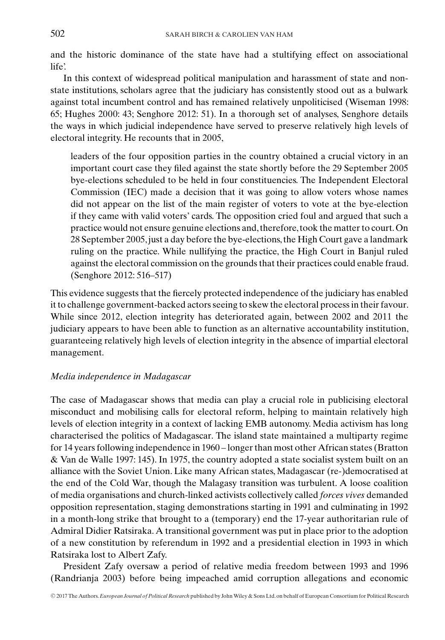and the historic dominance of the state have had a stultifying effect on associational life'.

In this context of widespread political manipulation and harassment of state and nonstate institutions, scholars agree that the judiciary has consistently stood out as a bulwark against total incumbent control and has remained relatively unpoliticised (Wiseman 1998: 65; Hughes 2000: 43; Senghore 2012: 51). In a thorough set of analyses, Senghore details the ways in which judicial independence have served to preserve relatively high levels of electoral integrity. He recounts that in 2005,

leaders of the four opposition parties in the country obtained a crucial victory in an important court case they filed against the state shortly before the 29 September 2005 bye-elections scheduled to be held in four constituencies. The Independent Electoral Commission (IEC) made a decision that it was going to allow voters whose names did not appear on the list of the main register of voters to vote at the bye-election if they came with valid voters' cards. The opposition cried foul and argued that such a practice would not ensure genuine elections and, therefore, took the matter to court.On 28 September 2005,just a day before the bye-elections, the High Court gave a landmark ruling on the practice. While nullifying the practice, the High Court in Banjul ruled against the electoral commission on the grounds that their practices could enable fraud. (Senghore 2012: 516–517)

This evidence suggests that the fiercely protected independence of the judiciary has enabled it to challenge government-backed actors seeing to skew the electoral process in their favour. While since 2012, election integrity has deteriorated again, between 2002 and 2011 the judiciary appears to have been able to function as an alternative accountability institution, guaranteeing relatively high levels of election integrity in the absence of impartial electoral management.

### *Media independence in Madagascar*

The case of Madagascar shows that media can play a crucial role in publicising electoral misconduct and mobilising calls for electoral reform, helping to maintain relatively high levels of election integrity in a context of lacking EMB autonomy. Media activism has long characterised the politics of Madagascar. The island state maintained a multiparty regime for 14 years following independence in 1960 – longer than most other African states (Bratton & Van de Walle 1997: 145). In 1975, the country adopted a state socialist system built on an alliance with the Soviet Union. Like many African states, Madagascar (re-)democratised at the end of the Cold War, though the Malagasy transition was turbulent. A loose coalition of media organisations and church-linked activists collectively called *forces vives* demanded opposition representation, staging demonstrations starting in 1991 and culminating in 1992 in a month-long strike that brought to a (temporary) end the 17-year authoritarian rule of Admiral Didier Ratsiraka. A transitional government was put in place prior to the adoption of a new constitution by referendum in 1992 and a presidential election in 1993 in which Ratsiraka lost to Albert Zafy.

President Zafy oversaw a period of relative media freedom between 1993 and 1996 (Randrianja 2003) before being impeached amid corruption allegations and economic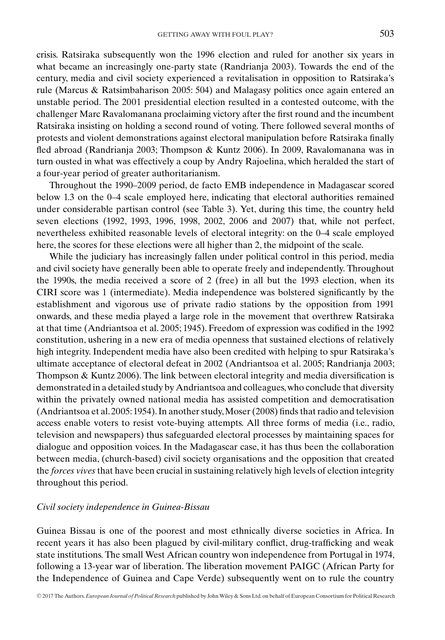crisis. Ratsiraka subsequently won the 1996 election and ruled for another six years in what became an increasingly one-party state (Randrianja 2003). Towards the end of the century, media and civil society experienced a revitalisation in opposition to Ratsiraka's rule (Marcus & Ratsimbaharison 2005: 504) and Malagasy politics once again entered an unstable period. The 2001 presidential election resulted in a contested outcome, with the challenger Marc Ravalomanana proclaiming victory after the first round and the incumbent Ratsiraka insisting on holding a second round of voting. There followed several months of protests and violent demonstrations against electoral manipulation before Ratsiraka finally fled abroad (Randrianja 2003; Thompson & Kuntz 2006). In 2009, Ravalomanana was in turn ousted in what was effectively a coup by Andry Rajoelina, which heralded the start of a four-year period of greater authoritarianism.

Throughout the 1990–2009 period, de facto EMB independence in Madagascar scored below 1.3 on the 0–4 scale employed here, indicating that electoral authorities remained under considerable partisan control (see Table 3). Yet, during this time, the country held seven elections (1992, 1993, 1996, 1998, 2002, 2006 and 2007) that, while not perfect, nevertheless exhibited reasonable levels of electoral integrity: on the 0–4 scale employed here, the scores for these elections were all higher than 2, the midpoint of the scale.

While the judiciary has increasingly fallen under political control in this period, media and civil society have generally been able to operate freely and independently. Throughout the 1990s, the media received a score of 2 (free) in all but the 1993 election, when its CIRI score was 1 (intermediate). Media independence was bolstered significantly by the establishment and vigorous use of private radio stations by the opposition from 1991 onwards, and these media played a large role in the movement that overthrew Ratsiraka at that time (Andriantsoa et al. 2005; 1945). Freedom of expression was codified in the 1992 constitution, ushering in a new era of media openness that sustained elections of relatively high integrity. Independent media have also been credited with helping to spur Ratsiraka's ultimate acceptance of electoral defeat in 2002 (Andriantsoa et al. 2005; Randrianja 2003; Thompson & Kuntz 2006). The link between electoral integrity and media diversification is demonstrated in a detailed study by Andriantsoa and colleagues,who conclude that diversity within the privately owned national media has assisted competition and democratisation (Andriantsoa et al. 2005: 1954). In another study,Moser (2008) finds that radio and television access enable voters to resist vote-buying attempts. All three forms of media (i.e., radio, television and newspapers) thus safeguarded electoral processes by maintaining spaces for dialogue and opposition voices. In the Madagascar case, it has thus been the collaboration between media, (church-based) civil society organisations and the opposition that created the *forces vives* that have been crucial in sustaining relatively high levels of election integrity throughout this period.

#### *Civil society independence in Guinea-Bissau*

Guinea Bissau is one of the poorest and most ethnically diverse societies in Africa. In recent years it has also been plagued by civil-military conflict, drug-trafficking and weak state institutions. The small West African country won independence from Portugal in 1974, following a 13-year war of liberation. The liberation movement PAIGC (African Party for the Independence of Guinea and Cape Verde) subsequently went on to rule the country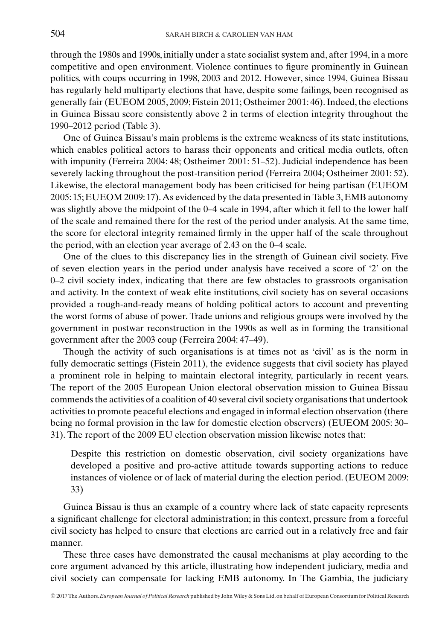through the 1980s and 1990s, initially under a state socialist system and, after 1994, in a more competitive and open environment. Violence continues to figure prominently in Guinean politics, with coups occurring in 1998, 2003 and 2012. However, since 1994, Guinea Bissau has regularly held multiparty elections that have, despite some failings, been recognised as generally fair (EUEOM 2005, 2009; Fistein 2011; Ostheimer 2001: 46). Indeed, the elections in Guinea Bissau score consistently above 2 in terms of election integrity throughout the 1990–2012 period (Table 3).

One of Guinea Bissau's main problems is the extreme weakness of its state institutions, which enables political actors to harass their opponents and critical media outlets, often with impunity (Ferreira 2004: 48; Ostheimer 2001: 51–52). Judicial independence has been severely lacking throughout the post-transition period (Ferreira 2004; Ostheimer 2001: 52). Likewise, the electoral management body has been criticised for being partisan (EUEOM 2005: 15; EUEOM 2009: 17). As evidenced by the data presented in Table 3, EMB autonomy was slightly above the midpoint of the 0–4 scale in 1994, after which it fell to the lower half of the scale and remained there for the rest of the period under analysis. At the same time, the score for electoral integrity remained firmly in the upper half of the scale throughout the period, with an election year average of 2.43 on the 0–4 scale.

One of the clues to this discrepancy lies in the strength of Guinean civil society. Five of seven election years in the period under analysis have received a score of '2' on the 0–2 civil society index, indicating that there are few obstacles to grassroots organisation and activity. In the context of weak elite institutions, civil society has on several occasions provided a rough-and-ready means of holding political actors to account and preventing the worst forms of abuse of power. Trade unions and religious groups were involved by the government in postwar reconstruction in the 1990s as well as in forming the transitional government after the 2003 coup (Ferreira 2004: 47–49).

Though the activity of such organisations is at times not as 'civil' as is the norm in fully democratic settings (Fistein 2011), the evidence suggests that civil society has played a prominent role in helping to maintain electoral integrity, particularly in recent years. The report of the 2005 European Union electoral observation mission to Guinea Bissau commends the activities of a coalition of 40 several civil society organisations that undertook activities to promote peaceful elections and engaged in informal election observation (there being no formal provision in the law for domestic election observers) (EUEOM 2005: 30– 31). The report of the 2009 EU election observation mission likewise notes that:

Despite this restriction on domestic observation, civil society organizations have developed a positive and pro-active attitude towards supporting actions to reduce instances of violence or of lack of material during the election period. (EUEOM 2009: 33)

Guinea Bissau is thus an example of a country where lack of state capacity represents a significant challenge for electoral administration; in this context, pressure from a forceful civil society has helped to ensure that elections are carried out in a relatively free and fair manner.

These three cases have demonstrated the causal mechanisms at play according to the core argument advanced by this article, illustrating how independent judiciary, media and civil society can compensate for lacking EMB autonomy. In The Gambia, the judiciary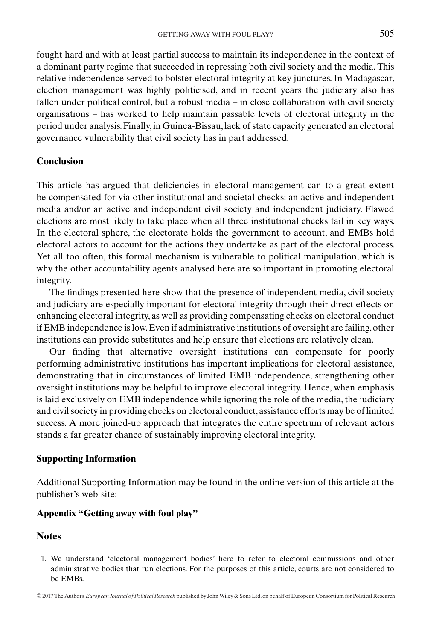fought hard and with at least partial success to maintain its independence in the context of a dominant party regime that succeeded in repressing both civil society and the media. This relative independence served to bolster electoral integrity at key junctures. In Madagascar, election management was highly politicised, and in recent years the judiciary also has fallen under political control, but a robust media – in close collaboration with civil society organisations – has worked to help maintain passable levels of electoral integrity in the period under analysis. Finally,in Guinea-Bissau,lack of state capacity generated an electoral governance vulnerability that civil society has in part addressed.

### **Conclusion**

This article has argued that deficiencies in electoral management can to a great extent be compensated for via other institutional and societal checks: an active and independent media and/or an active and independent civil society and independent judiciary. Flawed elections are most likely to take place when all three institutional checks fail in key ways. In the electoral sphere, the electorate holds the government to account, and EMBs hold electoral actors to account for the actions they undertake as part of the electoral process. Yet all too often, this formal mechanism is vulnerable to political manipulation, which is why the other accountability agents analysed here are so important in promoting electoral integrity.

The findings presented here show that the presence of independent media, civil society and judiciary are especially important for electoral integrity through their direct effects on enhancing electoral integrity, as well as providing compensating checks on electoral conduct if EMB independence is low. Even if administrative institutions of oversight are failing, other institutions can provide substitutes and help ensure that elections are relatively clean.

Our finding that alternative oversight institutions can compensate for poorly performing administrative institutions has important implications for electoral assistance, demonstrating that in circumstances of limited EMB independence, strengthening other oversight institutions may be helpful to improve electoral integrity. Hence, when emphasis is laid exclusively on EMB independence while ignoring the role of the media, the judiciary and civil society in providing checks on electoral conduct, assistance efforts may be of limited success. A more joined-up approach that integrates the entire spectrum of relevant actors stands a far greater chance of sustainably improving electoral integrity.

#### **Supporting Information**

Additional Supporting Information may be found in the online version of this article at the publisher's web-site:

# **Appendix "Getting away with foul play"**

### **Notes**

1. We understand 'electoral management bodies' here to refer to electoral commissions and other administrative bodies that run elections. For the purposes of this article, courts are not considered to be EMBs.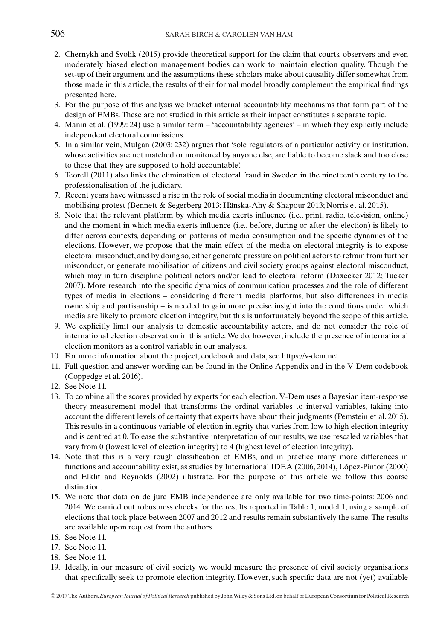- 2. Chernykh and Svolik (2015) provide theoretical support for the claim that courts, observers and even moderately biased election management bodies can work to maintain election quality. Though the set-up of their argument and the assumptions these scholars make about causality differ somewhat from those made in this article, the results of their formal model broadly complement the empirical findings presented here.
- 3. For the purpose of this analysis we bracket internal accountability mechanisms that form part of the design of EMBs. These are not studied in this article as their impact constitutes a separate topic.
- 4. Manin et al. (1999: 24) use a similar term 'accountability agencies' in which they explicitly include independent electoral commissions.
- 5. In a similar vein, Mulgan (2003: 232) argues that 'sole regulators of a particular activity or institution, whose activities are not matched or monitored by anyone else, are liable to become slack and too close to those that they are supposed to hold accountable'.
- 6. Teorell (2011) also links the elimination of electoral fraud in Sweden in the nineteenth century to the professionalisation of the judiciary.
- 7. Recent years have witnessed a rise in the role of social media in documenting electoral misconduct and mobilising protest (Bennett & Segerberg 2013; Hänska-Ahy & Shapour 2013; Norris et al. 2015).
- 8. Note that the relevant platform by which media exerts influence (i.e., print, radio, television, online) and the moment in which media exerts influence (i.e., before, during or after the election) is likely to differ across contexts, depending on patterns of media consumption and the specific dynamics of the elections. However, we propose that the main effect of the media on electoral integrity is to expose electoral misconduct, and by doing so, either generate pressure on political actors to refrain from further misconduct, or generate mobilisation of citizens and civil society groups against electoral misconduct, which may in turn discipline political actors and/or lead to electoral reform (Daxecker 2012; Tucker 2007). More research into the specific dynamics of communication processes and the role of different types of media in elections – considering different media platforms, but also differences in media ownership and partisanship – is needed to gain more precise insight into the conditions under which media are likely to promote election integrity, but this is unfortunately beyond the scope of this article.
- 9. We explicitly limit our analysis to domestic accountability actors, and do not consider the role of international election observation in this article. We do, however, include the presence of international election monitors as a control variable in our analyses.
- 10. For more information about the project, codebook and data, see https://v-dem.net
- 11. Full question and answer wording can be found in the Online Appendix and in the V-Dem codebook (Coppedge et al. 2016).
- 12. See Note 11.
- 13. To combine all the scores provided by experts for each election, V-Dem uses a Bayesian item-response theory measurement model that transforms the ordinal variables to interval variables, taking into account the different levels of certainty that experts have about their judgments (Pemstein et al. 2015). This results in a continuous variable of election integrity that varies from low to high election integrity and is centred at 0. To ease the substantive interpretation of our results, we use rescaled variables that vary from 0 (lowest level of election integrity) to 4 (highest level of election integrity).
- 14. Note that this is a very rough classification of EMBs, and in practice many more differences in functions and accountability exist, as studies by International IDEA (2006, 2014), López-Pintor (2000) and Elklit and Reynolds (2002) illustrate. For the purpose of this article we follow this coarse distinction.
- 15. We note that data on de jure EMB independence are only available for two time-points: 2006 and 2014. We carried out robustness checks for the results reported in Table 1, model 1, using a sample of elections that took place between 2007 and 2012 and results remain substantively the same. The results are available upon request from the authors.
- 16. See Note 11.
- 17. See Note 11.
- 18. See Note 11.
- 19. Ideally, in our measure of civil society we would measure the presence of civil society organisations that specifically seek to promote election integrity. However, such specific data are not (yet) available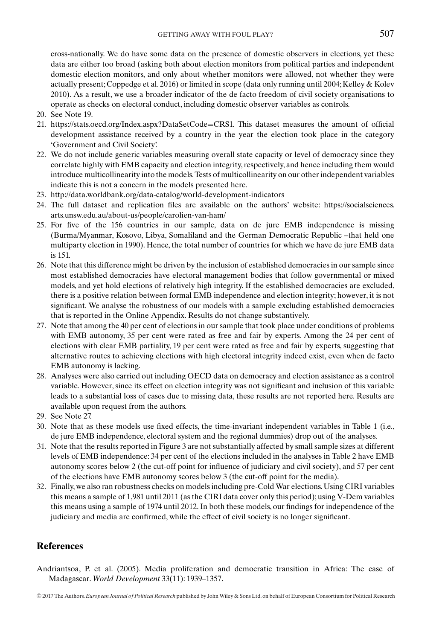cross-nationally. We do have some data on the presence of domestic observers in elections, yet these data are either too broad (asking both about election monitors from political parties and independent domestic election monitors, and only about whether monitors were allowed, not whether they were actually present; Coppedge et al. 2016) or limited in scope (data only running until 2004; Kelley & Kolev 2010). As a result, we use a broader indicator of the de facto freedom of civil society organisations to operate as checks on electoral conduct, including domestic observer variables as controls.

- 20. See Note 19.
- 21. https://stats.oecd.org/Index.aspx?DataSetCode=CRS1. This dataset measures the amount of official development assistance received by a country in the year the election took place in the category 'Government and Civil Society'.
- 22. We do not include generic variables measuring overall state capacity or level of democracy since they correlate highly with EMB capacity and election integrity, respectively, and hence including them would introduce multicollinearity into the models.Tests of multicollinearity on our other independent variables indicate this is not a concern in the models presented here.
- 23. http://data.worldbank.org/data-catalog/world-development-indicators
- 24. The full dataset and replication files are available on the authors' website: https://socialsciences. arts.unsw.edu.au/about-us/people/carolien-van-ham/
- 25. For five of the 156 countries in our sample, data on de jure EMB independence is missing (Burma/Myanmar, Kosovo, Libya, Somaliland and the German Democratic Republic –that held one multiparty election in 1990). Hence, the total number of countries for which we have de jure EMB data is 151.
- 26. Note that this difference might be driven by the inclusion of established democracies in our sample since most established democracies have electoral management bodies that follow governmental or mixed models, and yet hold elections of relatively high integrity. If the established democracies are excluded, there is a positive relation between formal EMB independence and election integrity; however, it is not significant. We analyse the robustness of our models with a sample excluding established democracies that is reported in the Online Appendix. Results do not change substantively.
- 27. Note that among the 40 per cent of elections in our sample that took place under conditions of problems with EMB autonomy, 35 per cent were rated as free and fair by experts. Among the 24 per cent of elections with clear EMB partiality, 19 per cent were rated as free and fair by experts, suggesting that alternative routes to achieving elections with high electoral integrity indeed exist, even when de facto EMB autonomy is lacking.
- 28. Analyses were also carried out including OECD data on democracy and election assistance as a control variable. However, since its effect on election integrity was not significant and inclusion of this variable leads to a substantial loss of cases due to missing data, these results are not reported here. Results are available upon request from the authors.
- 29. See Note 27.
- 30. Note that as these models use fixed effects, the time-invariant independent variables in Table 1 (i.e., de jure EMB independence, electoral system and the regional dummies) drop out of the analyses.
- 31. Note that the results reported in Figure 3 are not substantially affected by small sample sizes at different levels of EMB independence: 34 per cent of the elections included in the analyses in Table 2 have EMB autonomy scores below 2 (the cut-off point for influence of judiciary and civil society), and 57 per cent of the elections have EMB autonomy scores below 3 (the cut-off point for the media).
- 32. Finally, we also ran robustness checks on models including pre-Cold War elections.Using CIRI variables this means a sample of 1,981 until 2011 (as the CIRI data cover only this period); using V-Dem variables this means using a sample of 1974 until 2012. In both these models, our findings for independence of the judiciary and media are confirmed, while the effect of civil society is no longer significant.

### **References**

Andriantsoa, P. et al. (2005). Media proliferation and democratic transition in Africa: The case of Madagascar. *World Development* 33(11): 1939–1357.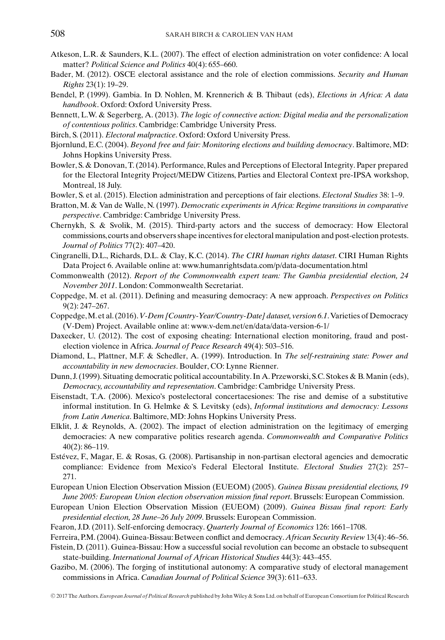- Atkeson, L.R. & Saunders, K.L. (2007). The effect of election administration on voter confidence: A local matter? *Political Science and Politics* 40(4): 655–660.
- Bader, M. (2012). OSCE electoral assistance and the role of election commissions. *Security and Human Rights* 23(1): 19–29.
- Bendel, P. (1999). Gambia. In D. Nohlen, M. Krennerich & B. Thibaut (eds), *Elections in Africa: A data handbook*. Oxford: Oxford University Press.
- Bennett, L.W. & Segerberg, A. (2013). *The logic of connective action: Digital media and the personalization of contentious politics*. Cambridge: Cambridge University Press.
- Birch, S. (2011). *Electoral malpractice*. Oxford: Oxford University Press.
- Bjornlund, E.C. (2004). *Beyond free and fair: Monitoring elections and building democracy*. Baltimore, MD: Johns Hopkins University Press.
- Bowler, S. & Donovan, T. (2014). Performance, Rules and Perceptions of Electoral Integrity. Paper prepared for the Electoral Integrity Project/MEDW Citizens, Parties and Electoral Context pre-IPSA workshop, Montreal, 18 July.
- Bowler, S. et al. (2015). Election administration and perceptions of fair elections. *Electoral Studies* 38: 1–9.
- Bratton, M. & Van de Walle, N. (1997). *Democratic experiments in Africa: Regime transitions in comparative perspective*. Cambridge: Cambridge University Press.
- Chernykh, S. & Svolik, M. (2015). Third-party actors and the success of democracy: How Electoral commissions, courts and observers shape incentives for electoral manipulation and post-election protests. *Journal of Politics* 77(2): 407–420.
- Cingranelli, D.L., Richards, D.L. & Clay, K.C. (2014). *The CIRI human rights dataset*. CIRI Human Rights Data Project 6. Available online at: www.humanrightsdata.com/p/data-documentation.html
- Commonwealth (2012). *Report of the Commonwealth expert team: The Gambia presidential election, 24 November 2011*. London: Commonwealth Secretariat.
- Coppedge, M. et al. (2011). Defining and measuring democracy: A new approach. *Perspectives on Politics* 9(2): 247–267.
- Coppedge,M. et al. (2016).*V-Dem [Country-Year/Country-Date] dataset, version 6.1*.Varieties of Democracy (V-Dem) Project. Available online at: www.v-dem.net/en/data/data-version-6-1/
- Daxecker, U. (2012). The cost of exposing cheating: International election monitoring, fraud and postelection violence in Africa. *Journal of Peace Research* 49(4): 503–516.
- Diamond, L., Plattner, M.F. & Schedler, A. (1999). Introduction. In *The self-restraining state: Power and accountability in new democracies*. Boulder, CO: Lynne Rienner.
- Dunn, J. (1999). Situating democratic political accountability. In A. Przeworski, S.C. Stokes & B.Manin (eds), *Democracy, accountability and representation*. Cambridge: Cambridge University Press.
- Eisenstadt, T.A. (2006). Mexico's postelectoral concertacesiones: The rise and demise of a substitutive informal institution. In G. Helmke & S. Levitsky (eds), *Informal institutions and democracy: Lessons from Latin America*. Baltimore, MD: Johns Hopkins University Press.
- Elklit, J. & Reynolds, A. (2002). The impact of election administration on the legitimacy of emerging democracies: A new comparative politics research agenda. *Commonwealth and Comparative Politics* 40(2): 86–119.
- Estévez, F., Magar, E. & Rosas, G. (2008). Partisanship in non-partisan electoral agencies and democratic compliance: Evidence from Mexico's Federal Electoral Institute. *Electoral Studies* 27(2): 257– 271.
- European Union Election Observation Mission (EUEOM) (2005). *Guinea Bissau presidential elections, 19 June 2005: European Union election observation mission final report*. Brussels: European Commission.
- European Union Election Observation Mission (EUEOM) (2009). *Guinea Bissau final report: Early presidential election, 28 June–26 July 2009*. Brussels: European Commission.
- Fearon, J.D. (2011). Self-enforcing democracy. *Quarterly Journal of Economics* 126: 1661–1708.
- Ferreira, P.M. (2004). Guinea-Bissau: Between conflict and democracy.*African Security Review* 13(4): 46–56.
- Fistein, D. (2011). Guinea-Bissau: How a successful social revolution can become an obstacle to subsequent state-building. *International Journal of African Historical Studies* 44(3): 443–455.
- Gazibo, M. (2006). The forging of institutional autonomy: A comparative study of electoral management commissions in Africa. *Canadian Journal of Political Science* 39(3): 611–633.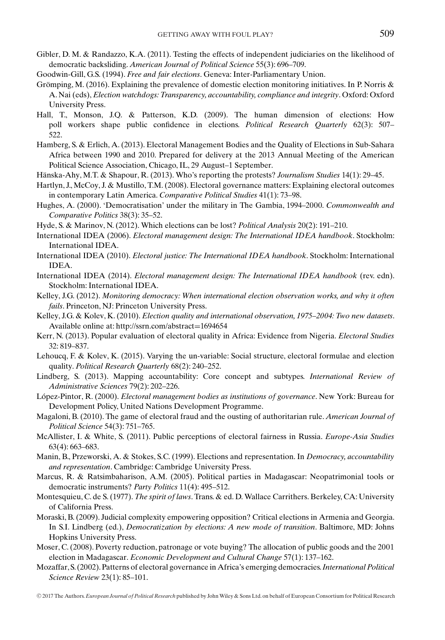- Gibler, D. M. & Randazzo, K.A. (2011). Testing the effects of independent judiciaries on the likelihood of democratic backsliding. *American Journal of Political Science* 55(3): 696–709.
- Goodwin-Gill, G.S. (1994). *Free and fair elections*. Geneva: Inter-Parliamentary Union.
- Grömping, M. (2016). Explaining the prevalence of domestic election monitoring initiatives. In P. Norris & A. Nai (eds), *Election watchdogs: Transparency, accountability, compliance and integrity*. Oxford: Oxford University Press.
- Hall, T., Monson, J.Q. & Patterson, K.D. (2009). The human dimension of elections: How poll workers shape public confidence in elections. *Political Research Quarterly* 62(3): 507– 522.
- Hamberg, S. & Erlich, A. (2013). Electoral Management Bodies and the Quality of Elections in Sub-Sahara Africa between 1990 and 2010. Prepared for delivery at the 2013 Annual Meeting of the American Political Science Association, Chicago, IL, 29 August–1 September.
- Hänska-Ahy, M.T. & Shapour, R. (2013). Who's reporting the protests? *Journalism Studies* 14(1): 29–45.
- Hartlyn, J., McCoy, J. & Mustillo, T.M. (2008). Electoral governance matters: Explaining electoral outcomes in contemporary Latin America. *Comparative Political Studies* 41(1): 73–98.
- Hughes, A. (2000). 'Democratisation' under the military in The Gambia, 1994–2000. *Commonwealth and Comparative Politics* 38(3): 35–52.
- Hyde, S. & Marinov, N. (2012). Which elections can be lost? *Political Analysis* 20(2): 191–210.
- International IDEA (2006). *Electoral management design: The International IDEA handbook*. Stockholm: International IDEA.
- International IDEA (2010). *Electoral justice: The International IDEA handbook*. Stockholm: International IDEA.
- International IDEA (2014). *Electoral management design: The International IDEA handbook* (rev. edn). Stockholm: International IDEA.
- Kelley, J.G. (2012). *Monitoring democracy: When international election observation works, and why it often fails*. Princeton, NJ: Princeton University Press.
- Kelley, J.G. & Kolev, K. (2010). *Election quality and international observation, 1975–2004: Two new datasets*. Available online at: http://ssrn.com/abstract=1694654
- Kerr, N. (2013). Popular evaluation of electoral quality in Africa: Evidence from Nigeria. *Electoral Studies* 32: 819–837.
- Lehoucq, F. & Kolev, K. (2015). Varying the un-variable: Social structure, electoral formulae and election quality. *Political Research Quarterly* 68(2): 240–252.
- Lindberg, S. (2013). Mapping accountability: Core concept and subtypes. *International Review of Administrative Sciences* 79(2): 202–226.
- López-Pintor, R. (2000). *Electoral management bodies as institutions of governance*. New York: Bureau for Development Policy, United Nations Development Programme.
- Magaloni, B. (2010). The game of electoral fraud and the ousting of authoritarian rule. *American Journal of Political Science* 54(3): 751–765.
- McAllister, I. & White, S. (2011). Public perceptions of electoral fairness in Russia. *Europe-Asia Studies* 63(4): 663–683.
- Manin, B., Przeworski, A. & Stokes, S.C. (1999). Elections and representation. In *Democracy, accountability and representation*. Cambridge: Cambridge University Press.
- Marcus, R. & Ratsimbaharison, A.M. (2005). Political parties in Madagascar: Neopatrimonial tools or democratic instruments? *Party Politics* 11(4): 495–512.
- Montesquieu, C. de S. (1977). *The spirit of laws*. Trans. & ed. D. Wallace Carrithers. Berkeley, CA: University of California Press.
- Moraski, B. (2009). Judicial complexity empowering opposition? Critical elections in Armenia and Georgia. In S.I. Lindberg (ed.), *Democratization by elections: A new mode of transition*. Baltimore, MD: Johns Hopkins University Press.
- Moser, C. (2008). Poverty reduction, patronage or vote buying? The allocation of public goods and the 2001 election in Madagascar. *Economic Development and Cultural Change* 57(1): 137–162.
- Mozaffar, S. (2002).Patterns of electoral governance in Africa's emerging democracies.*International Political Science Review* 23(1): 85–101.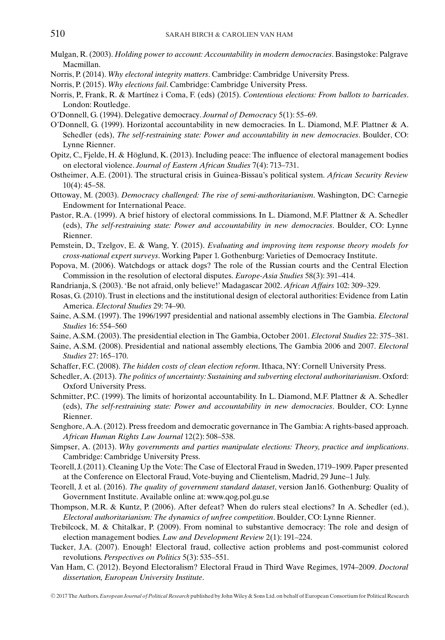- Mulgan, R. (2003). *Holding power to account: Accountability in modern democracies*. Basingstoke: Palgrave Macmillan.
- Norris, P. (2014). *Why electoral integrity matters*. Cambridge: Cambridge University Press.
- Norris, P. (2015). *Why elections fail*. Cambridge: Cambridge University Press.
- Norris, P., Frank, R. & Martínez i Coma, F. (eds) (2015). *Contentious elections: From ballots to barricades*. London: Routledge.
- O'Donnell, G. (1994). Delegative democracy. *Journal of Democracy* 5(1): 55–69.
- O'Donnell, G. (1999). Horizontal accountability in new democracies. In L. Diamond, M.F. Plattner & A. Schedler (eds), *The self-restraining state: Power and accountability in new democracies*. Boulder, CO: Lynne Rienner.
- Opitz, C., Fjelde, H. & Höglund, K. (2013). Including peace: The influence of electoral management bodies on electoral violence. *Journal of Eastern African Studies* 7(4): 713–731.
- Ostheimer, A.E. (2001). The structural crisis in Guinea-Bissau's political system. *African Security Review* 10(4): 45–58.
- Ottoway, M. (2003). *Democracy challenged: The rise of semi-authoritarianism*. Washington, DC: Carnegie Endowment for International Peace.
- Pastor, R.A. (1999). A brief history of electoral commissions. In L. Diamond, M.F. Plattner & A. Schedler (eds), *The self-restraining state: Power and accountability in new democracies*. Boulder, CO: Lynne Rienner.
- Pemstein, D., Tzelgov, E. & Wang, Y. (2015). *Evaluating and improving item response theory models for cross-national expert surveys*. Working Paper 1. Gothenburg: Varieties of Democracy Institute.
- Popova, M. (2006). Watchdogs or attack dogs? The role of the Russian courts and the Central Election Commission in the resolution of electoral disputes. *Europe-Asia Studies* 58(3): 391–414.
- Randrianja, S. (2003). 'Be not afraid, only believe!' Madagascar 2002. *African Affairs* 102: 309–329.
- Rosas, G. (2010). Trust in elections and the institutional design of electoral authorities: Evidence from Latin America. *Electoral Studies* 29: 74–90.
- Saine, A.S.M. (1997). The 1996/1997 presidential and national assembly elections in The Gambia. *Electoral Studies* 16: 554–560
- Saine, A.S.M. (2003). The presidential election in The Gambia, October 2001. *Electoral Studies* 22: 375–381.
- Saine, A.S.M. (2008). Presidential and national assembly elections, The Gambia 2006 and 2007. *Electoral Studies* 27: 165–170.
- Schaffer, F.C. (2008). *The hidden costs of clean election reform*. Ithaca, NY: Cornell University Press.
- Schedler, A. (2013). *The politics of uncertainty: Sustaining and subverting electoral authoritarianism*. Oxford: Oxford University Press.
- Schmitter, P.C. (1999). The limits of horizontal accountability. In L. Diamond, M.F. Plattner & A. Schedler (eds), *The self-restraining state: Power and accountability in new democracies*. Boulder, CO: Lynne Rienner.
- Senghore, A.A. (2012). Press freedom and democratic governance in The Gambia: A rights-based approach. *African Human Rights Law Journal* 12(2): 508–538.
- Simpser, A. (2013). *Why governments and parties manipulate elections: Theory, practice and implications*. Cambridge: Cambridge University Press.
- Teorell, J. (2011). Cleaning Up the Vote: The Case of Electoral Fraud in Sweden, 1719–1909. Paper presented at the Conference on Electoral Fraud, Vote-buying and Clientelism, Madrid, 29 June–1 July.
- Teorell, J. et al. (2016). *The quality of government standard dataset*, version Jan16. Gothenburg: Quality of Government Institute. Available online at: www.qog.pol.gu.se
- Thompson, M.R. & Kuntz, P. (2006). After defeat? When do rulers steal elections? In A. Schedler (ed.), *Electoral authoritarianism: The dynamics of unfree competition*. Boulder, CO: Lynne Rienner.
- Trebilcock, M. & Chitalkar, P. (2009). From nominal to substantive democracy: The role and design of election management bodies. *Law and Development Review* 2(1): 191–224.
- Tucker, J.A. (2007). Enough! Electoral fraud, collective action problems and post-communist colored revolutions. *Perspectives on Politics* 5(3): 535–551.
- Van Ham, C. (2012). Beyond Electoralism? Electoral Fraud in Third Wave Regimes, 1974–2009. *Doctoral dissertation, European University Institute*.